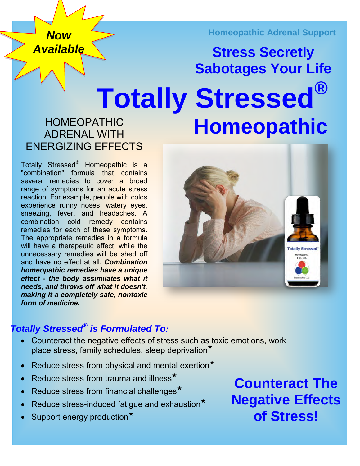*Now Available* **Homeopathic Adrenal Support**

# **Totally Stressed® Homeopathic Stress Secretly Sabotages Your Life**

# HOMEOPATHIC ADRENAL WITH ENERGIZING EFFECTS

Totally Stressed**®** Homeopathic is a "combination" formula that contains several remedies to cover a broad range of symptoms for an acute stress reaction. For example, people with colds experience runny noses, watery eyes, sneezing, fever, and headaches. A combination cold remedy contains remedies for each of these symptoms. The appropriate remedies in a formula will have a therapeutic effect, while the unnecessary remedies will be shed off and have no effect at all. *Combination homeopathic remedies have a unique effect - the body assimilates what it needs, and throws off what it doesn't, making it a completely safe, nontoxic form of medicine.*



# *Totally Stressed® is Formulated To:*

- Counteract the negative effects of stress such as toxic emotions, work place stress, family schedules, sleep deprivation★
- Reduce stress from physical and mental exertion<sup>\*</sup>
- Reduce stress from trauma and illness<sup>\*</sup>
- Reduce stress from financial challenges★
- Reduce stress-induced fatique and exhaustion<sup>\*</sup>
- Support energy production★

**Counteract The Negative Effects of Stress!**